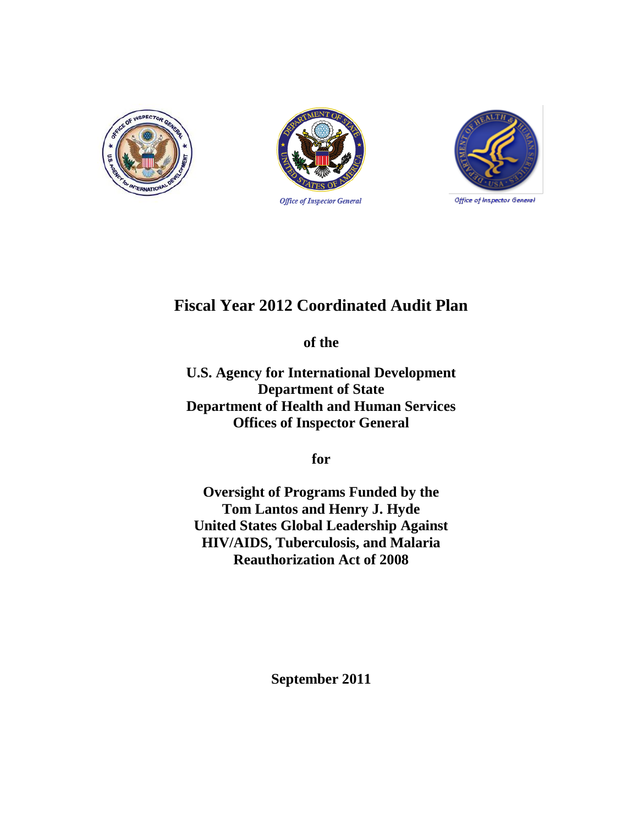





# **Fiscal Year 2012 Coordinated Audit Plan**

**of the**

**U.S. Agency for International Development Department of State Department of Health and Human Services Offices of Inspector General** 

**for** 

**Oversight of Programs Funded by the Tom Lantos and Henry J. Hyde United States Global Leadership Against HIV/AIDS, Tuberculosis, and Malaria Reauthorization Act of 2008**

**September 2011**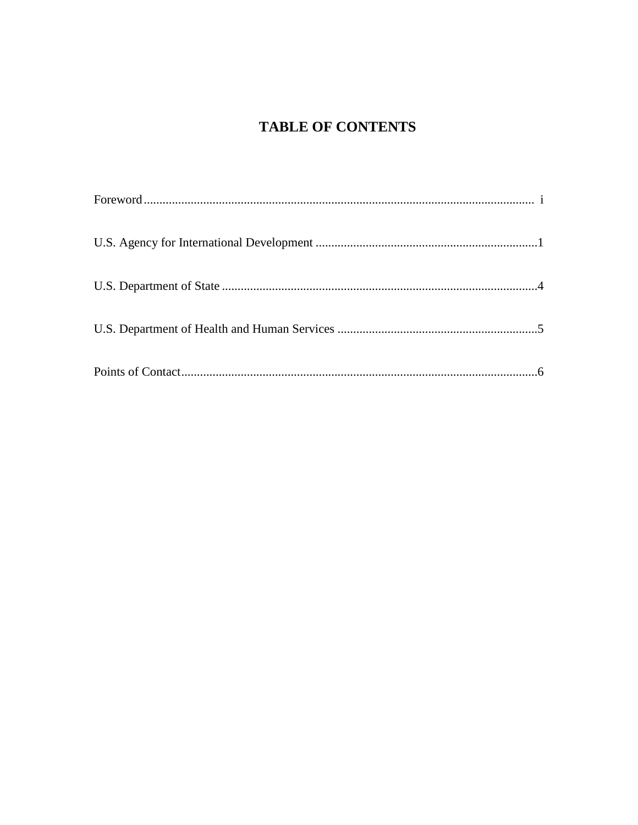# **TABLE OF CONTENTS**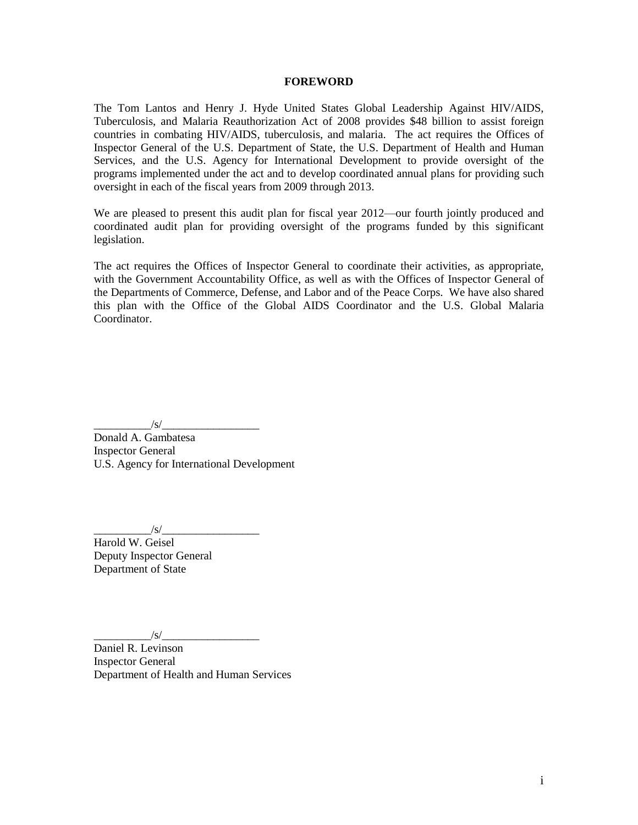#### **FOREWORD**

The Tom Lantos and Henry J. Hyde United States Global Leadership Against HIV/AIDS, Tuberculosis, and Malaria Reauthorization Act of 2008 provides \$48 billion to assist foreign countries in combating HIV/AIDS, tuberculosis, and malaria. The act requires the Offices of Inspector General of the U.S. Department of State, the U.S. Department of Health and Human Services, and the U.S. Agency for International Development to provide oversight of the programs implemented under the act and to develop coordinated annual plans for providing such oversight in each of the fiscal years from 2009 through 2013.

We are pleased to present this audit plan for fiscal year 2012—our fourth jointly produced and coordinated audit plan for providing oversight of the programs funded by this significant legislation.

The act requires the Offices of Inspector General to coordinate their activities, as appropriate, with the Government Accountability Office, as well as with the Offices of Inspector General of the Departments of Commerce, Defense, and Labor and of the Peace Corps. We have also shared this plan with the Office of the Global AIDS Coordinator and the U.S. Global Malaria Coordinator.

 $/s/$ 

Donald A. Gambatesa Inspector General U.S. Agency for International Development

\_\_\_\_\_\_\_\_\_\_/s/\_\_\_\_\_\_\_\_\_\_\_\_\_\_\_\_\_

Harold W. Geisel Deputy Inspector General Department of State

\_\_\_\_\_\_\_\_\_\_/s/\_\_\_\_\_\_\_\_\_\_\_\_\_\_\_\_\_

Daniel R. Levinson Inspector General Department of Health and Human Services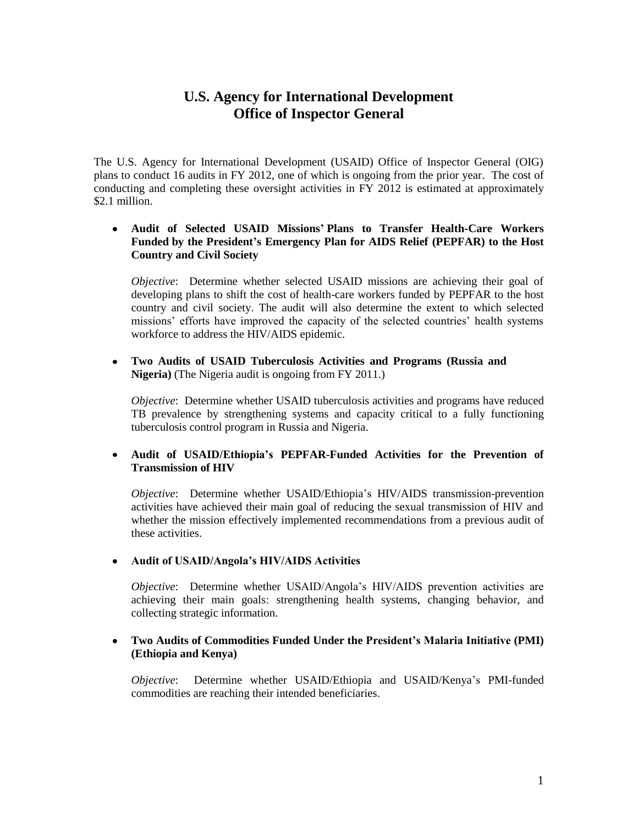# **U.S. Agency for International Development Office of Inspector General**

The U.S. Agency for International Development (USAID) Office of Inspector General (OIG) plans to conduct 16 audits in FY 2012, one of which is ongoing from the prior year. The cost of conducting and completing these oversight activities in FY 2012 is estimated at approximately \$2.1 million.

#### **Audit of Selected USAID Missions' Plans to Transfer Health-Care Workers Funded by the President's Emergency Plan for AIDS Relief (PEPFAR) to the Host Country and Civil Society**

*Objective*: Determine whether selected USAID missions are achieving their goal of developing plans to shift the cost of health-care workers funded by PEPFAR to the host country and civil society. The audit will also determine the extent to which selected missions' efforts have improved the capacity of the selected countries' health systems workforce to address the HIV/AIDS epidemic.

#### **Two Audits of USAID Tuberculosis Activities and Programs (Russia and**   $\bullet$ **Nigeria)** (The Nigeria audit is ongoing from FY 2011.)

*Objective*: Determine whether USAID tuberculosis activities and programs have reduced TB prevalence by strengthening systems and capacity critical to a fully functioning tuberculosis control program in Russia and Nigeria.

### **Audit of USAID/Ethiopia's PEPFAR-Funded Activities for the Prevention of Transmission of HIV**

*Objective*: Determine whether USAID/Ethiopia's HIV/AIDS transmission-prevention activities have achieved their main goal of reducing the sexual transmission of HIV and whether the mission effectively implemented recommendations from a previous audit of these activities.

#### **Audit of USAID/Angola's HIV/AIDS Activities**

*Objective*: Determine whether USAID/Angola's HIV/AIDS prevention activities are achieving their main goals: strengthening health systems, changing behavior, and collecting strategic information.

#### **Two Audits of Commodities Funded Under the President's Malaria Initiative (PMI) (Ethiopia and Kenya)**

*Objective*: Determine whether USAID/Ethiopia and USAID/Kenya's PMI-funded commodities are reaching their intended beneficiaries.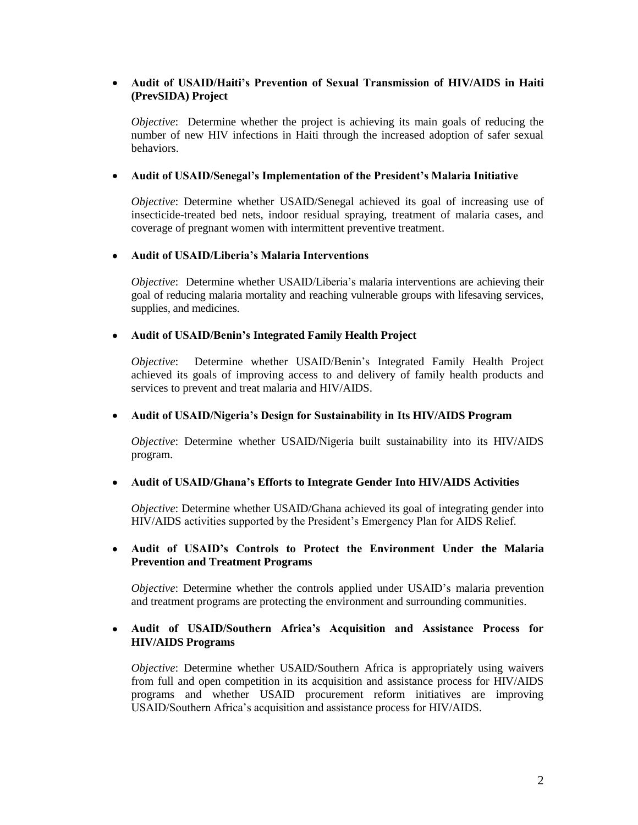### **Audit of USAID/Haiti's Prevention of Sexual Transmission of HIV/AIDS in Haiti (PrevSIDA) Project**

*Objective*: Determine whether the project is achieving its main goals of reducing the number of new HIV infections in Haiti through the increased adoption of safer sexual behaviors.

#### $\bullet$ **Audit of USAID/Senegal's Implementation of the President's Malaria Initiative**

*Objective*: Determine whether USAID/Senegal achieved its goal of increasing use of insecticide-treated bed nets, indoor residual spraying, treatment of malaria cases, and coverage of pregnant women with intermittent preventive treatment.

#### **Audit of USAID/Liberia's Malaria Interventions**  $\bullet$

*Objective*: Determine whether USAID/Liberia's malaria interventions are achieving their goal of reducing malaria mortality and reaching vulnerable groups with lifesaving services, supplies, and medicines.

#### **Audit of USAID/Benin's Integrated Family Health Project**

*Objective*: Determine whether USAID/Benin's Integrated Family Health Project achieved its goals of improving access to and delivery of family health products and services to prevent and treat malaria and HIV/AIDS.

#### **Audit of USAID/Nigeria's Design for Sustainability in Its HIV/AIDS Program**

*Objective*: Determine whether USAID/Nigeria built sustainability into its HIV/AIDS program.

#### **Audit of USAID/Ghana's Efforts to Integrate Gender Into HIV/AIDS Activities**  $\bullet$

*Objective*: Determine whether USAID/Ghana achieved its goal of integrating gender into HIV/AIDS activities supported by the President's Emergency Plan for AIDS Relief.

#### **Audit of USAID's Controls to Protect the Environment Under the Malaria Prevention and Treatment Programs**

*Objective*: Determine whether the controls applied under USAID's malaria prevention and treatment programs are protecting the environment and surrounding communities.

### **Audit of USAID/Southern Africa's Acquisition and Assistance Process for HIV/AIDS Programs**

*Objective*: Determine whether USAID/Southern Africa is appropriately using waivers from full and open competition in its acquisition and assistance process for HIV/AIDS programs and whether USAID procurement reform initiatives are improving USAID/Southern Africa's acquisition and assistance process for HIV/AIDS.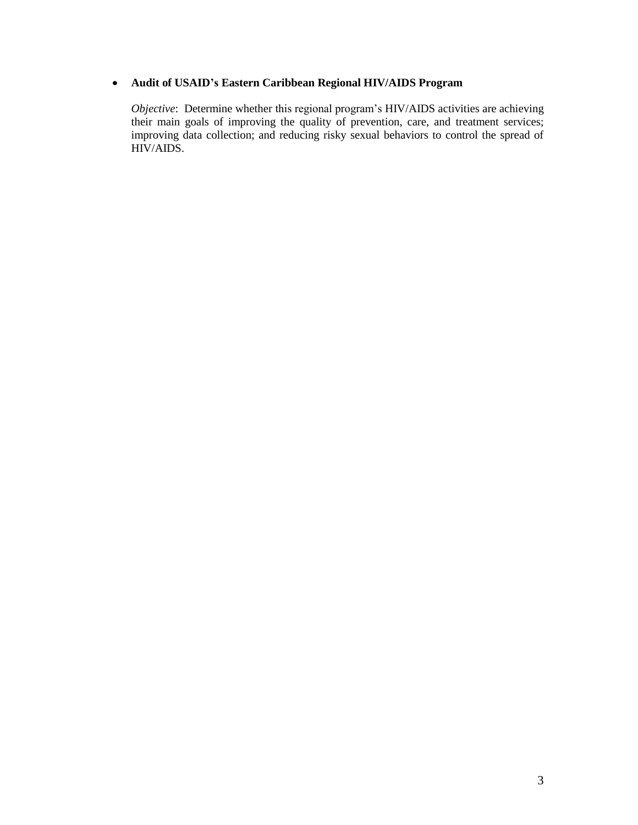### **Audit of USAID's Eastern Caribbean Regional HIV/AIDS Program**

*Objective*: Determine whether this regional program's HIV/AIDS activities are achieving their main goals of improving the quality of prevention, care, and treatment services; improving data collection; and reducing risky sexual behaviors to control the spread of HIV/AIDS.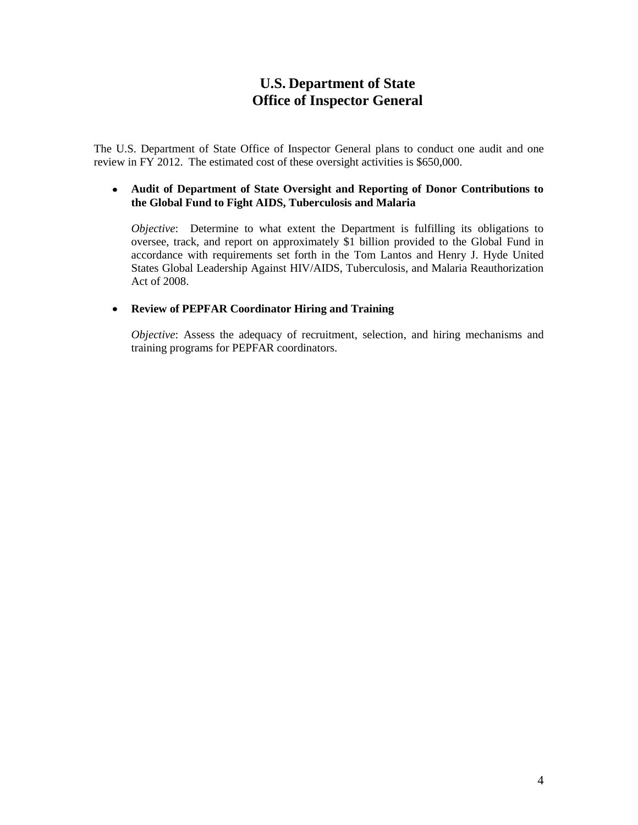# **U.S. Department of State Office of Inspector General**

The U.S. Department of State Office of Inspector General plans to conduct one audit and one review in FY 2012. The estimated cost of these oversight activities is \$650,000.

#### **Audit of Department of State Oversight and Reporting of Donor Contributions to the Global Fund to Fight AIDS, Tuberculosis and Malaria**

*Objective*: Determine to what extent the Department is fulfilling its obligations to oversee, track, and report on approximately \$1 billion provided to the Global Fund in accordance with requirements set forth in the Tom Lantos and Henry J. Hyde United States Global Leadership Against HIV/AIDS, Tuberculosis, and Malaria Reauthorization Act of 2008.

### **Review of PEPFAR Coordinator Hiring and Training**

*Objective*: Assess the adequacy of recruitment, selection, and hiring mechanisms and training programs for PEPFAR coordinators.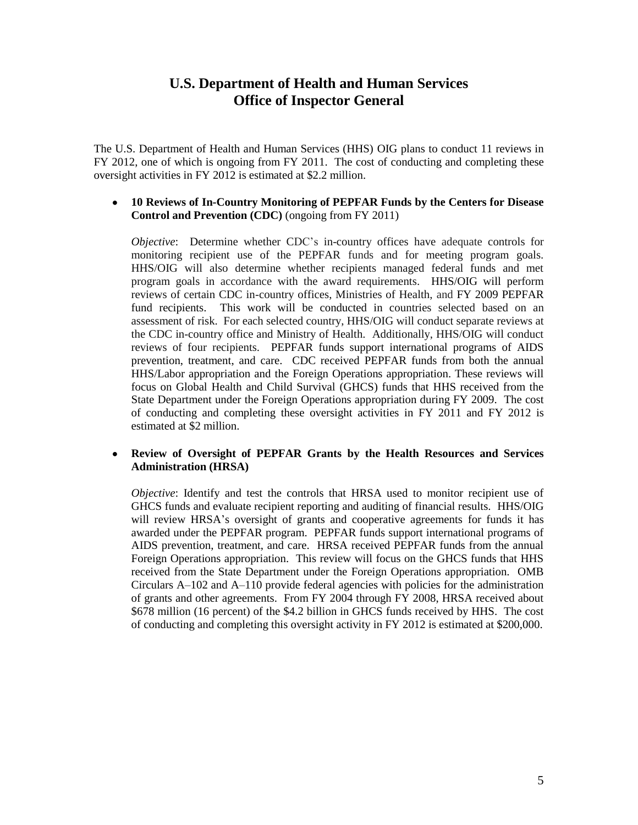## **U.S. Department of Health and Human Services Office of Inspector General**

The U.S. Department of Health and Human Services (HHS) OIG plans to conduct 11 reviews in FY 2012, one of which is ongoing from FY 2011. The cost of conducting and completing these oversight activities in FY 2012 is estimated at \$2.2 million.

#### **10 Reviews of In-Country Monitoring of PEPFAR Funds by the Centers for Disease Control and Prevention (CDC)** (ongoing from FY 2011)

*Objective*: Determine whether CDC's in-country offices have adequate controls for monitoring recipient use of the PEPFAR funds and for meeting program goals. HHS/OIG will also determine whether recipients managed federal funds and met program goals in accordance with the award requirements. HHS/OIG will perform reviews of certain CDC in-country offices, Ministries of Health, and FY 2009 PEPFAR fund recipients. This work will be conducted in countries selected based on an assessment of risk. For each selected country, HHS/OIG will conduct separate reviews at the CDC in-country office and Ministry of Health. Additionally, HHS/OIG will conduct reviews of four recipients. PEPFAR funds support international programs of AIDS prevention, treatment, and care. CDC received PEPFAR funds from both the annual HHS/Labor appropriation and the Foreign Operations appropriation. These reviews will focus on Global Health and Child Survival (GHCS) funds that HHS received from the State Department under the Foreign Operations appropriation during FY 2009. The cost of conducting and completing these oversight activities in FY 2011 and FY 2012 is estimated at \$2 million.

#### $\bullet$ **Review of Oversight of PEPFAR Grants by the Health Resources and Services Administration (HRSA)**

*Objective*: Identify and test the controls that HRSA used to monitor recipient use of GHCS funds and evaluate recipient reporting and auditing of financial results. HHS/OIG will review HRSA's oversight of grants and cooperative agreements for funds it has awarded under the PEPFAR program. PEPFAR funds support international programs of AIDS prevention, treatment, and care. HRSA received PEPFAR funds from the annual Foreign Operations appropriation. This review will focus on the GHCS funds that HHS received from the State Department under the Foreign Operations appropriation. OMB Circulars A–102 and A–110 provide federal agencies with policies for the administration of grants and other agreements. From FY 2004 through FY 2008, HRSA received about \$678 million (16 percent) of the \$4.2 billion in GHCS funds received by HHS. The cost of conducting and completing this oversight activity in FY 2012 is estimated at \$200,000.